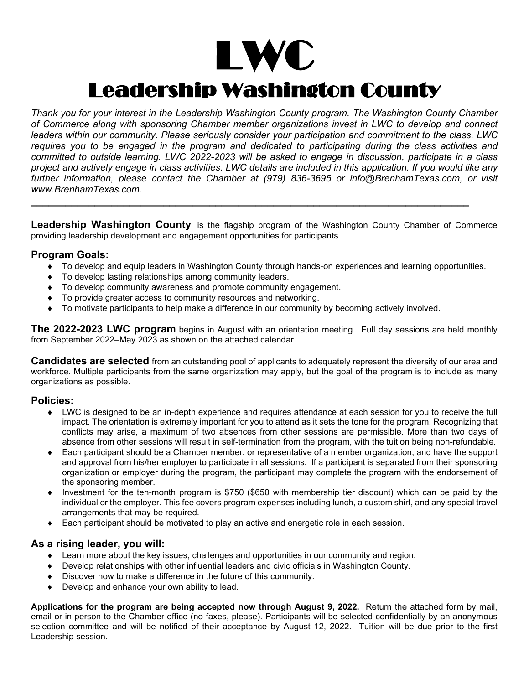# LWC<br>Leadership Washington County

*Thank you for your interest in the Leadership Washington County program. The Washington County Chamber of Commerce along with sponsoring Chamber member organizations invest in LWC to develop and connect leaders within our community. Please seriously consider your participation and commitment to the class. LWC requires you to be engaged in the program and dedicated to participating during the class activities and committed to outside learning. LWC 2022-2023 will be asked to engage in discussion, participate in a class project and actively engage in class activities. LWC details are included in this application. If you would like any further information, please contact the Chamber at (979) 836-3695 or info@BrenhamTexas.com, or visit www.BrenhamTexas.com.*

Leadership Washington County is the flagship program of the Washington County Chamber of Commerce providing leadership development and engagement opportunities for participants.

**\_\_\_\_\_\_\_\_\_\_\_\_\_\_\_\_\_\_\_\_\_\_\_\_\_\_\_\_\_\_\_\_\_\_\_\_\_\_\_\_\_\_\_\_\_\_\_\_\_\_\_\_\_\_\_\_\_\_\_\_\_\_\_\_\_\_\_\_\_\_\_\_\_\_\_\_**

## **Program Goals:**

- ♦ To develop and equip leaders in Washington County through hands-on experiences and learning opportunities.
- To develop lasting relationships among community leaders.
- To develop community awareness and promote community engagement.
- To provide greater access to community resources and networking.
- To motivate participants to help make a difference in our community by becoming actively involved.

**The 2022-2023 LWC program** begins in August with an orientation meeting. Full day sessions are held monthly from September 2022–May 2023 as shown on the attached calendar.

**Candidates are selected** from an outstanding pool of applicants to adequately represent the diversity of our area and workforce. Multiple participants from the same organization may apply, but the goal of the program is to include as many organizations as possible.

## **Policies:**

- ♦ LWC is designed to be an in-depth experience and requires attendance at each session for you to receive the full impact. The orientation is extremely important for you to attend as it sets the tone for the program. Recognizing that conflicts may arise, a maximum of two absences from other sessions are permissible. More than two days of absence from other sessions will result in self-termination from the program, with the tuition being non-refundable.
- ♦ Each participant should be a Chamber member, or representative of a member organization, and have the support and approval from his/her employer to participate in all sessions. If a participant is separated from their sponsoring organization or employer during the program, the participant may complete the program with the endorsement of the sponsoring member.
- Investment for the ten-month program is \$750 (\$650 with membership tier discount) which can be paid by the individual or the employer. This fee covers program expenses including lunch, a custom shirt, and any special travel arrangements that may be required.
- ♦ Each participant should be motivated to play an active and energetic role in each session.

## **As a rising leader, you will:**

- ♦ Learn more about the key issues, challenges and opportunities in our community and region.
- ♦ Develop relationships with other influential leaders and civic officials in Washington County.
- ♦ Discover how to make a difference in the future of this community.
- Develop and enhance your own ability to lead.

**Applications for the program are being accepted now through August 9, 2022.** Return the attached form by mail, email or in person to the Chamber office (no faxes, please). Participants will be selected confidentially by an anonymous selection committee and will be notified of their acceptance by August 12, 2022. Tuition will be due prior to the first Leadership session.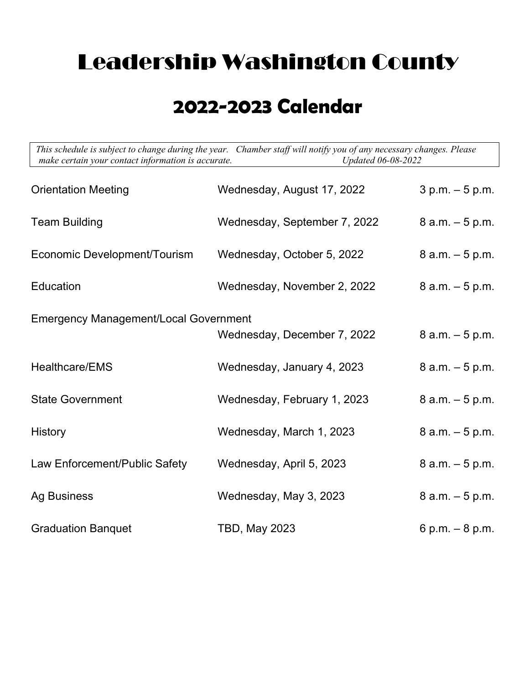# Leadership Washington County

## **2022-2023 Calendar**

 *This schedule is subject to change during the year. Chamber staff will notify you of any necessary changes. Please make certain your contact information is accurate. Updated 06-08-2022*

| <b>Orientation Meeting</b>                   | Wednesday, August 17, 2022   | $3 p.m. - 5 p.m.$  |  |
|----------------------------------------------|------------------------------|--------------------|--|
| <b>Team Building</b>                         | Wednesday, September 7, 2022 | $8$ a.m. $-5$ p.m. |  |
| <b>Economic Development/Tourism</b>          | Wednesday, October 5, 2022   | $8$ a.m. $-5$ p.m. |  |
| Education                                    | Wednesday, November 2, 2022  | $8$ a.m. $-5$ p.m. |  |
| <b>Emergency Management/Local Government</b> |                              |                    |  |
|                                              | Wednesday, December 7, 2022  | $8$ a.m. $-5$ p.m. |  |
| Healthcare/EMS                               | Wednesday, January 4, 2023   | $8$ a.m. $-5$ p.m. |  |
| <b>State Government</b>                      | Wednesday, February 1, 2023  | $8$ a.m. $-5$ p.m. |  |
| <b>History</b>                               | Wednesday, March 1, 2023     | $8$ a.m. $-5$ p.m. |  |
| Law Enforcement/Public Safety                | Wednesday, April 5, 2023     | $8$ a.m. $-5$ p.m. |  |
| <b>Ag Business</b>                           | Wednesday, May 3, 2023       | $8$ a.m. $-5$ p.m. |  |
| <b>Graduation Banquet</b>                    | <b>TBD, May 2023</b>         | 6 p.m. $-8$ p.m.   |  |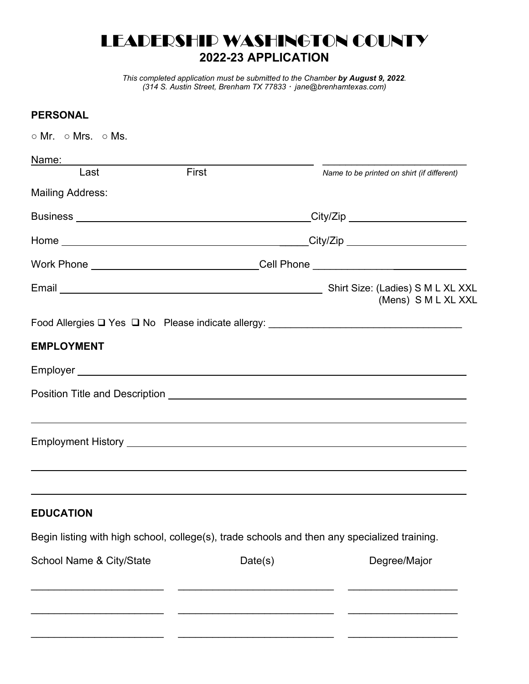## LEADERSHIP WASHINGTON COUNTY **2022-23 APPLICATION**

*This completed application must be submitted to the Chamber by August 9, 2022. (314 S. Austin Street, Brenham TX 77833 jane@brenhamtexas.com)* 

## **PERSONAL**

| $\circ$ Mr. $\circ$ Mrs. $\circ$ Ms.                                                         |         |                                            |
|----------------------------------------------------------------------------------------------|---------|--------------------------------------------|
| Name:                                                                                        |         |                                            |
| First<br>Last                                                                                |         | Name to be printed on shirt (if different) |
| <b>Mailing Address:</b>                                                                      |         |                                            |
|                                                                                              |         | City/Zip ______________________            |
|                                                                                              |         |                                            |
| Work Phone _______________________________Cell Phone ___________________________             |         |                                            |
|                                                                                              |         | (Mens) S M L XL XXL                        |
|                                                                                              |         |                                            |
| <b>EMPLOYMENT</b>                                                                            |         |                                            |
|                                                                                              |         |                                            |
|                                                                                              |         |                                            |
|                                                                                              |         |                                            |
|                                                                                              |         |                                            |
| <b>EDUCATION</b>                                                                             |         |                                            |
| Begin listing with high school, college(s), trade schools and then any specialized training. |         |                                            |
| School Name & City/State                                                                     | Date(s) | Degree/Major                               |
|                                                                                              |         |                                            |
|                                                                                              |         |                                            |